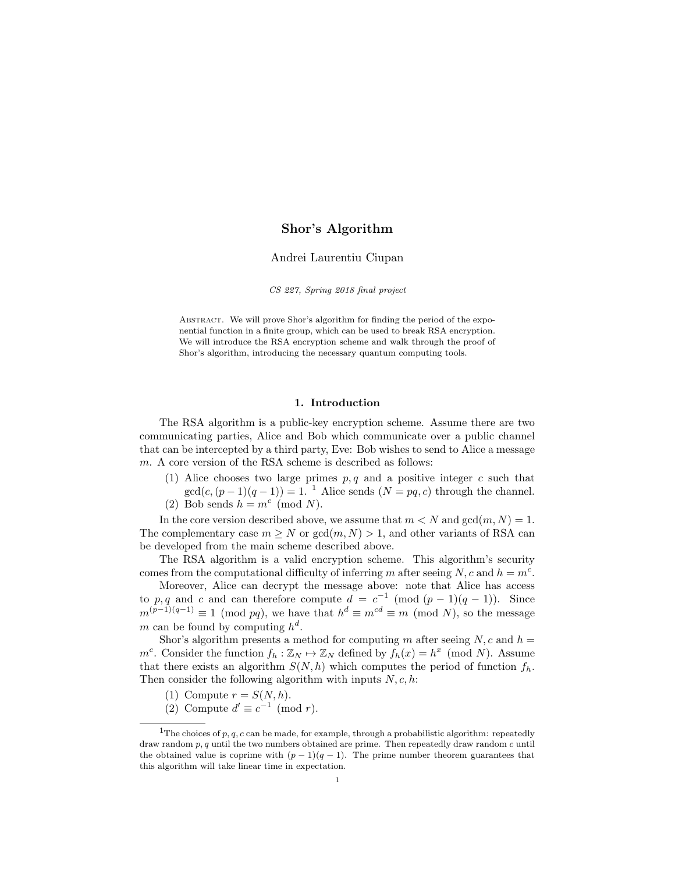# Shor's Algorithm

## Andrei Laurentiu Ciupan

CS 227, Spring 2018 final project

ABSTRACT. We will prove Shor's algorithm for finding the period of the exponential function in a finite group, which can be used to break RSA encryption. We will introduce the RSA encryption scheme and walk through the proof of Shor's algorithm, introducing the necessary quantum computing tools.

### 1. Introduction

The RSA algorithm is a public-key encryption scheme. Assume there are two communicating parties, Alice and Bob which communicate over a public channel that can be intercepted by a third party, Eve: Bob wishes to send to Alice a message m. A core version of the RSA scheme is described as follows:

(1) Alice chooses two large primes  $p, q$  and a positive integer c such that  $gcd(c,(p-1)(q-1)) = 1$  $gcd(c,(p-1)(q-1)) = 1$  $gcd(c,(p-1)(q-1)) = 1$ . <sup>1</sup> Alice sends  $(N = pq, c)$  through the channel. (2) Bob sends  $h = m^c \pmod{N}$ .

In the core version described above, we assume that  $m < N$  and  $gcd(m, N) = 1$ . The complementary case  $m \geq N$  or  $gcd(m, N) > 1$ , and other variants of RSA can be developed from the main scheme described above.

The RSA algorithm is a valid encryption scheme. This algorithm's security comes from the computational difficulty of inferring m after seeing N, c and  $h = m<sup>c</sup>$ .

Moreover, Alice can decrypt the message above: note that Alice has access to p, q and c and can therefore compute  $d = c^{-1} \pmod{(p-1)(q-1)}$ . Since  $m^{(p-1)(q-1)} \equiv 1 \pmod{pq}$ , we have that  $h^d \equiv m^{cd} \equiv m \pmod{N}$ , so the message m can be found by computing  $h^d$ .

Shor's algorithm presents a method for computing m after seeing  $N, c$  and  $h =$  $m^c$ . Consider the function  $f_h : \mathbb{Z}_N \to \mathbb{Z}_N$  defined by  $f_h(x) = h^x \pmod{N}$ . Assume that there exists an algorithm  $S(N, h)$  which computes the period of function  $f_h$ . Then consider the following algorithm with inputs  $N, c, h$ :

- (1) Compute  $r = S(N, h)$ .
- <span id="page-0-0"></span>(2) Compute  $d' \equiv c^{-1} \pmod{r}$ .

<sup>&</sup>lt;sup>1</sup>The choices of p, q, c can be made, for example, through a probabilistic algorithm: repeatedly draw random  $p, q$  until the two numbers obtained are prime. Then repeatedly draw random  $c$  until the obtained value is coprime with  $(p-1)(q-1)$ . The prime number theorem guarantees that this algorithm will take linear time in expectation.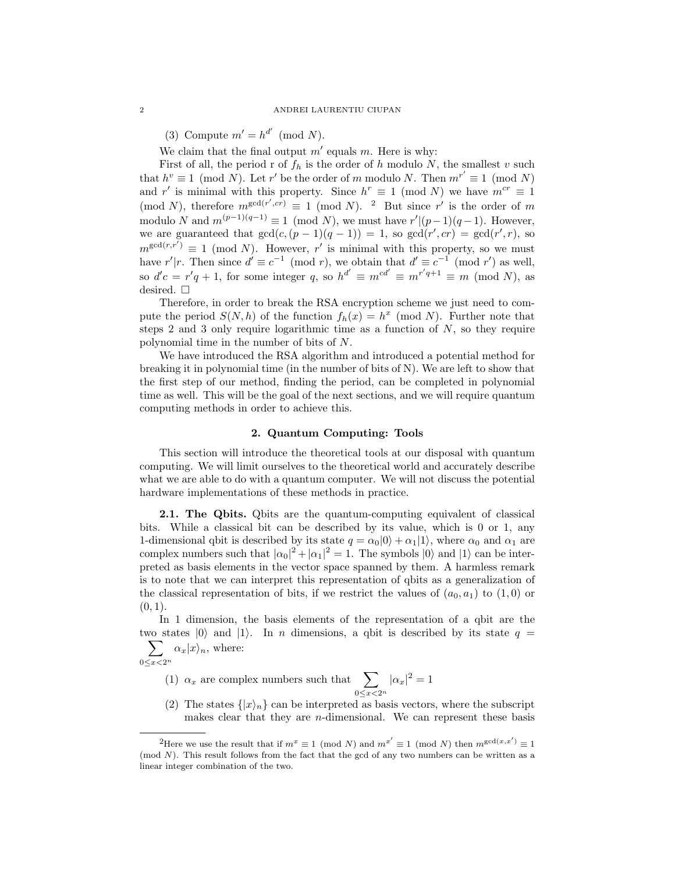(3) Compute  $m' = h^{d'} \pmod{N}$ .

We claim that the final output  $m'$  equals m. Here is why:

First of all, the period r of  $f_h$  is the order of h modulo N, the smallest v such that  $h^v \equiv 1 \pmod{N}$ . Let r' be the order of m modulo N. Then  $m^{r'} \equiv 1 \pmod{N}$ and r' is minimal with this property. Since  $h^r \equiv 1 \pmod{N}$  we have  $m^{cr} \equiv 1$ (mod N), therefore  $m^{\gcd(r',cr)} \equiv 1 \pmod{N}$ . <sup>[2](#page-1-0)</sup> But since r' is the order of m modulo N and  $m^{(p-1)(q-1)} \equiv 1 \pmod{N}$ , we must have  $r' \mid (p-1)(q-1)$ . However, we are guaranteed that  $gcd(c, (p-1)(q-1)) = 1$ , so  $gcd(r', cr) = gcd(r', r)$ , so  $m^{\gcd(r,r')} \equiv 1 \pmod{N}$ . However, r' is minimal with this property, so we must have r'|r. Then since  $d' \equiv c^{-1} \pmod{r}$ , we obtain that  $d' \equiv c^{-1} \pmod{r'}$  as well, so  $d'c = r'q + 1$ , for some integer q, so  $h^{d'} \equiv m^{cd'} \equiv m^{r'q+1} \equiv m \pmod{N}$ , as desired.  $\Box$ 

Therefore, in order to break the RSA encryption scheme we just need to compute the period  $S(N, h)$  of the function  $f_h(x) = h^x \pmod{N}$ . Further note that steps 2 and 3 only require logarithmic time as a function of  $N$ , so they require polynomial time in the number of bits of N.

We have introduced the RSA algorithm and introduced a potential method for breaking it in polynomial time (in the number of bits of N). We are left to show that the first step of our method, finding the period, can be completed in polynomial time as well. This will be the goal of the next sections, and we will require quantum computing methods in order to achieve this.

### 2. Quantum Computing: Tools

This section will introduce the theoretical tools at our disposal with quantum computing. We will limit ourselves to the theoretical world and accurately describe what we are able to do with a quantum computer. We will not discuss the potential hardware implementations of these methods in practice.

2.1. The Qbits. Qbits are the quantum-computing equivalent of classical bits. While a classical bit can be described by its value, which is 0 or 1, any 1-dimensional qbit is described by its state  $q = \alpha_0|0\rangle + \alpha_1|1\rangle$ , where  $\alpha_0$  and  $\alpha_1$  are complex numbers such that  $|\alpha_0|^2 + |\alpha_1|^2 = 1$ . The symbols  $|0\rangle$  and  $|1\rangle$  can be interpreted as basis elements in the vector space spanned by them. A harmless remark is to note that we can interpret this representation of qbits as a generalization of the classical representation of bits, if we restrict the values of  $(a_0, a_1)$  to  $(1, 0)$  or  $(0, 1)$ .

In 1 dimension, the basis elements of the representation of a qbit are the two states  $|0\rangle$  and  $|1\rangle$ . In *n* dimensions, a qbit is described by its state  $q =$  $\sum$  $\alpha_x|x\rangle_n$ , where:

 $0 \le x < 2^n$ 

(1)  $\alpha_x$  are complex numbers such that  $\sum$  $0 \le x < 2^n$  $|\alpha_x|^2=1$ 

(2) The states  $\{|x\rangle_n\}$  can be interpreted as basis vectors, where the subscript makes clear that they are n-dimensional. We can represent these basis

<span id="page-1-0"></span><sup>&</sup>lt;sup>2</sup>Here we use the result that if  $m^x \equiv 1 \pmod{N}$  and  $m^{x'} \equiv 1 \pmod{N}$  then  $m^{\gcd(x,x')} \equiv 1$ (mod N). This result follows from the fact that the gcd of any two numbers can be written as a linear integer combination of the two.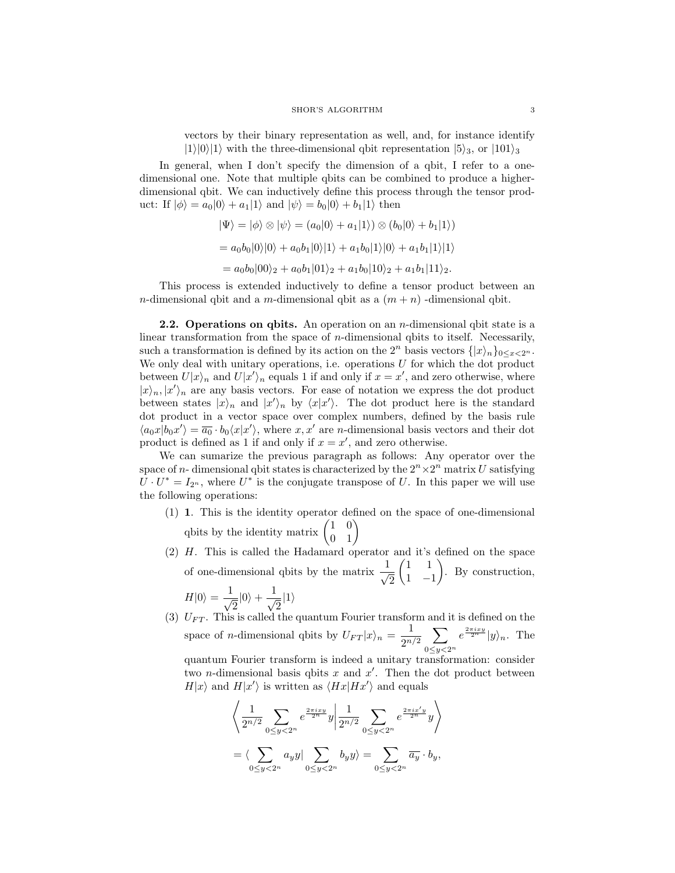vectors by their binary representation as well, and, for instance identify  $|1\rangle|0\rangle|1\rangle$  with the three-dimensional qbit representation  $|5\rangle_3$ , or  $|101\rangle_3$ 

In general, when I don't specify the dimension of a qbit, I refer to a onedimensional one. Note that multiple qbits can be combined to produce a higherdimensional qbit. We can inductively define this process through the tensor product: If  $|\phi\rangle = a_0|0\rangle + a_1|1\rangle$  and  $|\psi\rangle = b_0|0\rangle + b_1|1\rangle$  then

$$
\begin{aligned} |\Psi\rangle &= |\phi\rangle \otimes |\psi\rangle = (a_0|0\rangle + a_1|1\rangle) \otimes (b_0|0\rangle + b_1|1\rangle) \\ &= a_0b_0|0\rangle|0\rangle + a_0b_1|0\rangle|1\rangle + a_1b_0|1\rangle|0\rangle + a_1b_1|1\rangle|1\rangle \\ &= a_0b_0|00\rangle_2 + a_0b_1|01\rangle_2 + a_1b_0|10\rangle_2 + a_1b_1|11\rangle_2. \end{aligned}
$$

This process is extended inductively to define a tensor product between an n-dimensional qbit and a m-dimensional qbit as a  $(m + n)$ -dimensional qbit.

**2.2.** Operations on qbits. An operation on an *n*-dimensional qbit state is a linear transformation from the space of n-dimensional qbits to itself. Necessarily, such a transformation is defined by its action on the  $2^n$  basis vectors  $\{|x\rangle_n\}_{0\leq x\leq 2^n}$ . We only deal with unitary operations, i.e. operations  $U$  for which the dot product between  $U|x\rangle_n$  and  $U|x'\rangle_n$  equals 1 if and only if  $x = x'$ , and zero otherwise, where  $|x\rangle_n, |x'\rangle_n$  are any basis vectors. For ease of notation we express the dot product between states  $|x\rangle_n$  and  $|x'\rangle_n$  by  $\langle x|x'\rangle$ . The dot product here is the standard dot product in a vector space over complex numbers, defined by the basis rule  $\langle a_0 x | b_0 x' \rangle = \overline{a_0} \cdot b_0 \langle x | x' \rangle$ , where  $x, x'$  are *n*-dimensional basis vectors and their dot product is defined as 1 if and only if  $x = x'$ , and zero otherwise.

We can sumarize the previous paragraph as follows: Any operator over the space of *n*-dimensional qbit states is characterized by the  $2^{n} \times 2^{n}$  matrix U satisfying  $U \cdot U^* = I_{2^n}$ , where  $U^*$  is the conjugate transpose of U. In this paper we will use the following operations:

- (1) 1. This is the identity operator defined on the space of one-dimensional qbits by the identity matrix  $\begin{pmatrix} 1 & 0 \\ 0 & 1 \end{pmatrix}$
- (2) H. This is called the Hadamard operator and it's defined on the space of one-dimensional qbits by the matrix  $\frac{1}{\sqrt{2}}$ 2  $(1 \ 1)$ 1 −1 . By construction,  $H|0\rangle = \frac{1}{\sqrt{2}}$  $\frac{1}{2}|0\rangle + \frac{1}{\sqrt{2}}$  $\frac{1}{2}|1\rangle$

(3)  $U_{FT}$ . This is called the quantum Fourier transform and it is defined on the space of *n*-dimensional qbits by  $U_{FT}|x\rangle_n = \frac{1}{2^n}$  $rac{1}{2^{n/2}}\sum$  $0 \leq y < 2^n$  $e^{\frac{2\pi ixy}{2^n}}|y\rangle_n$ . The

quantum Fourier transform is indeed a unitary transformation: consider two *n*-dimensional basis qbits x and  $x'$ . Then the dot product between  $H|x\rangle$  and  $H|x'\rangle$  is written as  $\langle Hx|Hx'\rangle$  and equals

$$
\left\langle \frac{1}{2^{n/2}} \sum_{0 \le y < 2^n} e^{\frac{2\pi i x y}{2^n}} y \middle| \frac{1}{2^{n/2}} \sum_{0 \le y < 2^n} e^{\frac{2\pi i x' y}{2^n}} y \right\rangle
$$
  
= 
$$
\left\langle \sum_{0 \le y < 2^n} a_y y \middle| \sum_{0 \le y < 2^n} b_y y \right\rangle = \sum_{0 \le y < 2^n} \overline{a_y} \cdot b_y,
$$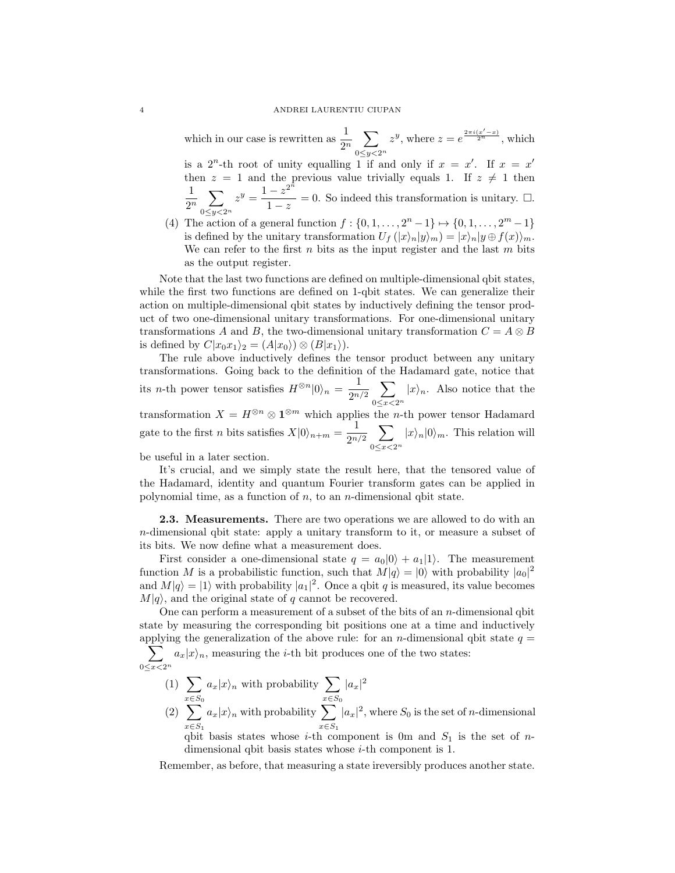which in our case is rewritten as  $\frac{1}{2^n} \sum_{0 \leq x \leq 1}$  $0 \leq y < 2^n$  $z^y$ , where  $z = e^{\frac{2\pi i(x'-x)}{2^n}}$ , which is a  $2^n$ -th root of unity equalling 1 if and only if  $x = x'$ . If  $x = x'$ then  $z = 1$  and the previous value trivially equals 1. If  $z \neq 1$  then

1  $\frac{1}{2^n}$   $\sum$  $0 \leq y < 2^n$  $z^y = \frac{1-z^{2^{\tilde{n}}}}{1}$  $\frac{-z}{1-z} = 0$ . So indeed this transformation is unitary.  $\Box$ .

(4) The action of a general function  $f: \{0, 1, ..., 2<sup>n</sup> - 1\} \mapsto \{0, 1, ..., 2<sup>m</sup> - 1\}$ is defined by the unitary transformation  $U_f(|x\rangle_n|y\rangle_m) = |x\rangle_n|y \oplus f(x)\rangle_m$ . We can refer to the first  $n$  bits as the input register and the last  $m$  bits as the output register.

Note that the last two functions are defined on multiple-dimensional qbit states, while the first two functions are defined on 1-qbit states. We can generalize their action on multiple-dimensional qbit states by inductively defining the tensor product of two one-dimensional unitary transformations. For one-dimensional unitary transformations A and B, the two-dimensional unitary transformation  $C = A \otimes B$ is defined by  $C|x_0x_1\rangle_2 = (A|x_0\rangle) \otimes (B|x_1\rangle).$ 

The rule above inductively defines the tensor product between any unitary transformations. Going back to the definition of the Hadamard gate, notice that its *n*-th power tensor satisfies  $H^{\otimes n}|0\rangle_n = \frac{1}{2^n}$  $rac{1}{2^{n/2}}\sum$  $0 \le x < 2^n$  $|x\rangle_n$ . Also notice that the transformation  $X = H^{\otimes n} \otimes \mathbf{1}^{\otimes m}$  which applies the *n*-th power tensor Hadamard gate to the first *n* bits satisfies  $X|0\rangle_{n+m} = \frac{1}{2n}$  $rac{1}{2^{n/2}}\sum$  $0 \le x < 2^n$  $|x\rangle_n|0\rangle_m$ . This relation will

be useful in a later section.

It's crucial, and we simply state the result here, that the tensored value of the Hadamard, identity and quantum Fourier transform gates can be applied in polynomial time, as a function of  $n$ , to an  $n$ -dimensional qbit state.

2.3. Measurements. There are two operations we are allowed to do with an n-dimensional qbit state: apply a unitary transform to it, or measure a subset of its bits. We now define what a measurement does.

First consider a one-dimensional state  $q = a_0|0\rangle + a_1|1\rangle$ . The measurement function M is a probabilistic function, such that  $M|q\rangle = |0\rangle$  with probability  $|a_0|^2$ and  $M|q\rangle = |1\rangle$  with probability  $|a_1|^2$ . Once a qbit q is measured, its value becomes  $M|q\rangle$ , and the original state of q cannot be recovered.

One can perform a measurement of a subset of the bits of an  $n$ -dimensional qbit state by measuring the corresponding bit positions one at a time and inductively applying the generalization of the above rule: for an applying the generalization of the above rule: for an *n*-dimensional qbit state  $q =$ 

 $\sum$  $0 \leq x < 2^n$  $a_x|x\rangle_n$ , measuring the *i*-th bit produces one of the two states:

 $(1)$  $x \in S_0$  $a_x|x\rangle_n$  with probability  $\sum$  $x \in S_0$  $|a_x|^2$  $(2) \sum$  $x \in S_1$  $a_x|x\rangle_n$  with probability  $\sum$  $x \in S_1$  $|a_x|^2$ , where  $S_0$  is the set of *n*-dimensional

qbit basis states whose *i*-th component is 0m and  $S_1$  is the set of *n*dimensional qbit basis states whose i-th component is 1.

Remember, as before, that measuring a state ireversibly produces another state.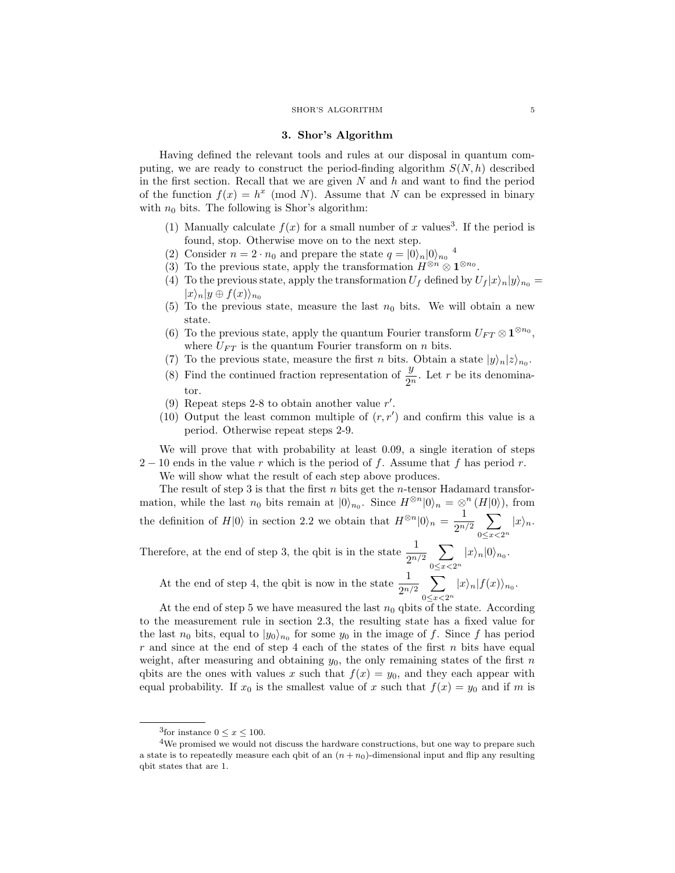#### SHOR'S ALGORITHM 5

### 3. Shor's Algorithm

Having defined the relevant tools and rules at our disposal in quantum computing, we are ready to construct the period-finding algorithm  $S(N, h)$  described in the first section. Recall that we are given  $N$  and  $h$  and want to find the period of the function  $f(x) = h^x \pmod{N}$ . Assume that N can be expressed in binary with  $n_0$  bits. The following is Shor's algorithm:

- (1) Manually calculate  $f(x)$  for a small number of x values<sup>[3](#page-4-0)</sup>. If the period is found, stop. Otherwise move on to the next step.
- (2) Consider  $n = 2 \cdot n_0$  and prepare the state  $q = |0\rangle_n |0\rangle_{n_0}$ <sup>[4](#page-4-1)</sup>
- (3) To the previous state, apply the transformation  $H^{\otimes n} \otimes \mathbf{1}^{\otimes n_0}$ .
- (4) To the previous state, apply the transformation  $U_f$  defined by  $U_f |x\rangle_n |y\rangle_{n_0} =$  $|x\rangle_n|y \oplus f(x)\rangle_{n_0}$
- (5) To the previous state, measure the last  $n_0$  bits. We will obtain a new state.
- (6) To the previous state, apply the quantum Fourier transform  $U_{FT} \otimes 1^{\otimes n_0}$ , where  $U_{FT}$  is the quantum Fourier transform on n bits.
- (7) To the previous state, measure the first *n* bits. Obtain a state  $|y\rangle_n|z\rangle_{n_0}$ .
- (8) Find the continued fraction representation of  $\frac{y}{2^n}$ . Let r be its denominator.
- (9) Repeat steps 2-8 to obtain another value  $r'$ .
- (10) Output the least common multiple of  $(r, r')$  and confirm this value is a period. Otherwise repeat steps 2-9.

We will prove that with probability at least 0.09, a single iteration of steps  $2-10$  ends in the value r which is the period of f. Assume that f has period r.

We will show what the result of each step above produces.

The result of step 3 is that the first  $n$  bits get the  $n$ -tensor Hadamard transformation, while the last  $n_0$  bits remain at  $|0\rangle_{n_0}$ . Since  $H^{\otimes n}|0\rangle_n = \otimes^n (H|0\rangle)$ , from the definition of  $H|0\rangle$  in section 2.2 we obtain that  $H^{\otimes n}|0\rangle_n = \frac{1}{2^n}$  $rac{1}{2^{n/2}}\sum_{0\leq x\leq 2^n}|x\rangle_n.$ 

Therefore, at the end of step 3, the qbit is in the state  $\frac{1}{2^{n/2}}\sum_{0\leq x\leq 2^n}|x\rangle_n|0\rangle_{n_0}.$  $0 \le x < 2^n$  $|x\rangle_n|0\rangle_{n_0}.$ 

At the end of step 4, the qbit is now in the state  $\frac{1}{2^{n/2}} \sum_{0 \leq x \leq 1}$  $0 \le x < 2^n$  $|x\rangle_n|f(x)\rangle_{n_0}.$ 

At the end of step 5 we have measured the last  $n_0$  qbits of the state. According to the measurement rule in section 2.3, the resulting state has a fixed value for the last  $n_0$  bits, equal to  $|y_0\rangle_{n_0}$  for some  $y_0$  in the image of f. Since f has period r and since at the end of step 4 each of the states of the first n bits have equal weight, after measuring and obtaining  $y_0$ , the only remaining states of the first n qbits are the ones with values x such that  $f(x) = y_0$ , and they each appear with equal probability. If  $x_0$  is the smallest value of x such that  $f(x) = y_0$  and if m is

<span id="page-4-1"></span><span id="page-4-0"></span><sup>&</sup>lt;sup>3</sup>for instance  $0 \le x \le 100$ .

 ${}^{4}\mathrm{We}$  promised we would not discuss the hardware constructions, but one way to prepare such a state is to repeatedly measure each qbit of an  $(n + n_0)$ -dimensional input and flip any resulting qbit states that are 1.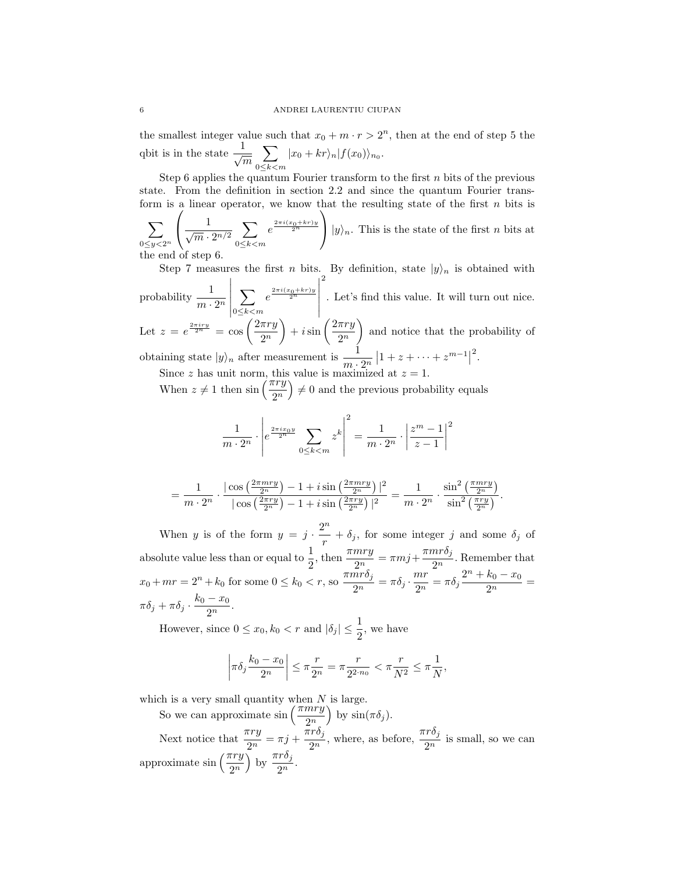the smallest integer value such that  $x_0 + m \cdot r > 2^n$ , then at the end of step 5 the qbit is in the state  $\frac{1}{\sqrt{m}}$  $\sum$  $0 \leq k < m$  $|x_0 + kr\rangle_n |f(x_0)\rangle_{n_0}.$ 

Step 6 applies the quantum Fourier transform to the first  $n$  bits of the previous state. From the definition in section 2.2 and since the quantum Fourier transform is a linear operator, we know that the resulting state of the first  $n$  bits is

 $\sum$  $0 \leq y < 2^n$  $\sqrt{ }$  $\mathcal{L}$  $\frac{1}{\sqrt{m}\cdot 2^{n/2}}\sum_{0\leq k\leq n}$  $0 \leq k < m$  $e^{\frac{2\pi i(x_0+kr)y}{2^n}}$  $\setminus$ |  $|y\rangle_n$ . This is the state of the first *n* bits at the end of step 6.

Step 7 measures the first *n* bits. By definition, state  $|y\rangle_n$  is obtained with probability  $\frac{1}{m \cdot 2^n}$   $\vert^{0\leq\kappa\leq m}$  |  $\sum$  $0 \leq k < m$  $e^{\frac{2\pi i(x_0+kr)y}{2^n}}$  2 . Let's find this value. It will turn out nice. Let  $z = e^{\frac{2\pi i r y}{2^n}} = \cos\left(\frac{2\pi r y}{2^n}\right)$  $2^n$  $+ i \sin \left( \frac{2 \pi r y}{2r} \right)$  $2^n$  and notice that the probability of obtaining state  $|y\rangle_n$  after measurement is  $\frac{1}{m \cdot 2^n} |1 + z + \cdots + z^{m-1}|$ 2 .

Since z has unit norm, this value is maximized at  $z = 1$ .

When  $z \neq 1$  then  $\sin\left(\frac{\pi ry}{2^n}\right) \neq 0$  and the previous probability equals

$$
\frac{1}{m \cdot 2^n} \cdot \left| e^{\frac{2\pi i x_0 y}{2^n}} \sum_{0 \le k < m} z^k \right|^2 = \frac{1}{m \cdot 2^n} \cdot \left| \frac{z^m - 1}{z - 1} \right|^2
$$

$$
= \frac{1}{m \cdot 2^n} \cdot \frac{|\cos\left(\frac{2\pi mry}{2^n}\right) - 1 + i \sin\left(\frac{2\pi mry}{2^n}\right)|^2}{|\cos\left(\frac{2\pi ry}{2^n}\right) - 1 + i \sin\left(\frac{2\pi ry}{2^n}\right)|^2} = \frac{1}{m \cdot 2^n} \cdot \frac{\sin^2\left(\frac{\pi mry}{2^n}\right)}{\sin^2\left(\frac{\pi ry}{2^n}\right)}.
$$

When y is of the form  $y = j \cdot \frac{2^n}{n}$ absolute value less than or equal to  $\frac{1}{2}$ , then  $\frac{\pi mry}{2^n} = \pi mj + \frac{\pi m r \delta_j}{2^n}$  $+ \delta_j$ , for some integer j and some  $\delta_j$  of  $\frac{n \cdot \sigma_j}{2^n}$ . Remember that  $x_0 + mr = 2^n + k_0$  for some  $0 \le k_0 < r$ , so  $\frac{\pi mr \delta_j}{2m}$  $\frac{nr\delta_j}{2^n} = \pi \delta_j \cdot \frac{mr}{2^n}$  $\frac{m r}{2^n} = \pi \delta_j \frac{2^n + k_0 - x_0}{2^n}$  $\frac{10}{2^n} =$  $\pi\delta_j + \pi\delta_j \cdot \frac{k_0 - x_0}{2n}$  $\frac{1}{2^n}$ .

However, since  $0 \le x_0, k_0 < r$  and  $|\delta_j| \le \frac{1}{2}$ , we have

$$
\left|\pi\delta_j \frac{k_0 - x_0}{2^n}\right| \le \pi \frac{r}{2^n} = \pi \frac{r}{2^{2 \cdot n_0}} < \pi \frac{r}{N^2} \le \pi \frac{1}{N},
$$

which is a very small quantity when  $N$  is large.

So we can approximate  $\sin\left(\frac{\pi mry}{2^n}\right)$  by  $\sin(\pi\delta_j)$ . Next notice that  $\frac{\pi ry}{2^n} = \pi j + \frac{\pi r \delta_j}{2^n}$  $\frac{r r \delta_j}{2^n}$ , where, as before,  $\frac{\pi r \delta_j}{2^n}$  is small, so we can approximate  $\sin\left(\frac{\pi ry}{2^n}\right)$  by  $\frac{\pi r\delta_j}{2^n}$ .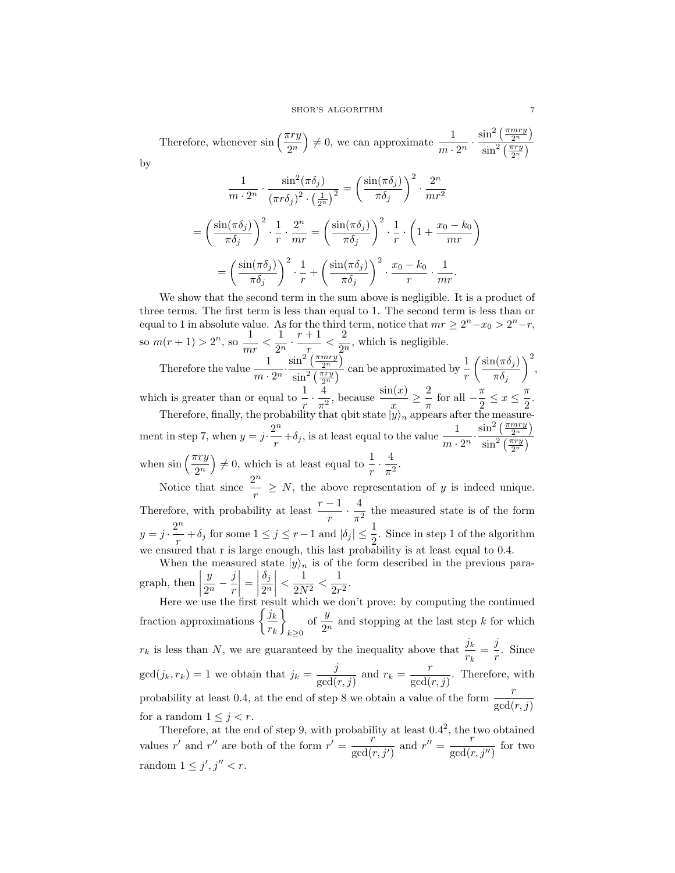Therefore, whenever  $\sin\left(\frac{\pi ry}{2^n}\right) \neq 0$ , we can approximate  $\frac{1}{m}$ .  $\frac{1}{m\cdot 2^n} \cdot \frac{\sin^2\left(\frac{\pi m r y}{2^n}\right)}{\sin^2\left(\frac{\pi r y}{2^n}\right)}$  $\sin^2\left(\frac{\pi ry}{2^n}\right)$ by

$$
\frac{1}{m \cdot 2^n} \cdot \frac{\sin^2(\pi \delta_j)}{(\pi r \delta_j)^2 \cdot \left(\frac{1}{2^n}\right)^2} = \left(\frac{\sin(\pi \delta_j)}{\pi \delta_j}\right)^2 \cdot \frac{2^n}{mr^2}
$$

$$
= \left(\frac{\sin(\pi \delta_j)}{\pi \delta_j}\right)^2 \cdot \frac{1}{r} \cdot \frac{2^n}{mr} = \left(\frac{\sin(\pi \delta_j)}{\pi \delta_j}\right)^2 \cdot \frac{1}{r} \cdot \left(1 + \frac{x_0 - k_0}{mr}\right)
$$

$$
= \left(\frac{\sin(\pi \delta_j)}{\pi \delta_j}\right)^2 \cdot \frac{1}{r} + \left(\frac{\sin(\pi \delta_j)}{\pi \delta_j}\right)^2 \cdot \frac{x_0 - k_0}{r} \cdot \frac{1}{mr}.
$$

We show that the second term in the sum above is negligible. It is a product of three terms. The first term is less than equal to 1. The second term is less than or equal to 1 in absolute value. As for the third term, notice that  $mr \geq 2^{n} - x_0 > 2^{n} - r$ , so  $m(r + 1) > 2^n$ , so  $\frac{1}{r}$  $\frac{1}{mr} < \frac{1}{2^r}$  $rac{1}{2^n} \cdot \frac{r+1}{r}$  $\frac{+1}{r} < \frac{2}{2^r}$  $\frac{2}{2^n}$ , which is negligible. Therefore the value  $\frac{1}{m \cdot 2^n} \cdot \frac{\sin^2\left(\frac{\pi m r y}{2^n}\right)}{\sin^2\left(\frac{\pi r y}{2^n}\right)}$  $\frac{\sin^2\left(\frac{\pi nry}{2n}\right)}{\sin^2\left(\frac{\pi ry}{2n}\right)}$  can be approximated by  $\frac{1}{r}$  $\sin(\pi\delta_j)$  $\pi\delta_j$  $\Big)^2$ which is greater than or equal to  $\frac{1}{r} \cdot \frac{4}{\pi^2}$  $\frac{4}{\pi^2}$ , because  $\frac{\sin(x)}{x} \geq \frac{2}{\pi}$  $rac{2}{\pi}$  for all  $-\frac{\pi}{2}$  $\frac{\pi}{2} \leq x \leq \frac{\pi}{2}$  $\frac{1}{2}$ . Therefore, finally, the probability that qbit state  $|y\rangle_n$  appears after the measurement in step 7, when  $y = j \cdot \frac{2^n}{n}$  $\frac{2^n}{r} + \delta_j$ , is at least equal to the value  $\frac{1}{m \cdot 2^n} \cdot \frac{\sin^2\left(\frac{\pi m r y}{2^n}\right)}{\sin^2\left(\frac{\pi r y}{2^n}\right)}$  $\sin^2\left(\frac{\pi ry}{2^n}\right)$ when  $\sin\left(\frac{\pi ry}{2^n}\right) \neq 0$ , which is at least equal to  $\frac{1}{r} \cdot \frac{4}{\pi^2}$  $\frac{1}{\pi^2}$ . Notice that since  $\frac{2^n}{n}$ 

 $\frac{1}{r} \geq N$ , the above representation of y is indeed unique. Therefore, with probability at least  $\frac{r-1}{r} \cdot \frac{4}{\pi^2}$  $\frac{1}{\pi^2}$  the measured state is of the form  $y=j\cdot\frac{2^n}{n}$  $\frac{p^n}{r} + \delta_j$  for some  $1 \le j \le r-1$  and  $|\delta_j| \le \frac{1}{2}$ . Since in step 1 of the algorithm we ensured that r is large enough, this last probability is at least equal to 0.4.

When the measured state  $|y\rangle_n$  is of the form described in the previous paragraph, then  $\vert$  $\hat{y}$  $rac{y}{2^n} - \frac{j}{r}$ r  $=$  $\delta_j$  $2^n$  $\begin{array}{c} \begin{array}{c} \begin{array}{c} \end{array} \\ \begin{array}{c} \end{array} \end{array} \end{array}$  $\frac{1}{2}$  $\frac{1}{2N^2} < \frac{1}{2r}$  $rac{1}{2r^2}$ .

Here we use the first result which we don't prove: by computing the continued fraction approximations  $\left\{\frac{j_k}{j_k}\right\}$  $r_k$ <u>)</u>  $k\geq 0$ of  $\frac{y}{2^n}$  and stopping at the last step k for which  $r_k$  is less than N, we are guaranteed by the inequality above that  $\frac{j_k}{r_k} = \frac{j}{r_k}$  $\frac{J}{r}$ . Since  $gcd(j_k, r_k) = 1$  we obtain that  $j_k = \frac{j}{\gcd(j)}$  $\frac{j}{\gcd(r,j)}$  and  $r_k = \frac{r}{\gcd(r)}$  $\frac{1}{\gcd(r, j)}$ . Therefore, with probability at least 0.4, at the end of step 8 we obtain a value of the form  $\frac{r}{\gcd(r, j)}$ for a random  $1 \leq j < r$ .

Therefore, at the end of step 9, with probability at least  $0.4^2$ , the two obtained values r' and r'' are both of the form  $r' = \frac{r}{\sqrt{2}}$  $rac{r}{\gcd(r, j')}$  and  $r'' = \frac{r}{\gcd(r)}$  $\frac{1}{\gcd(r, j'')}$  for two random  $1 \leq j', j'' < r$ .